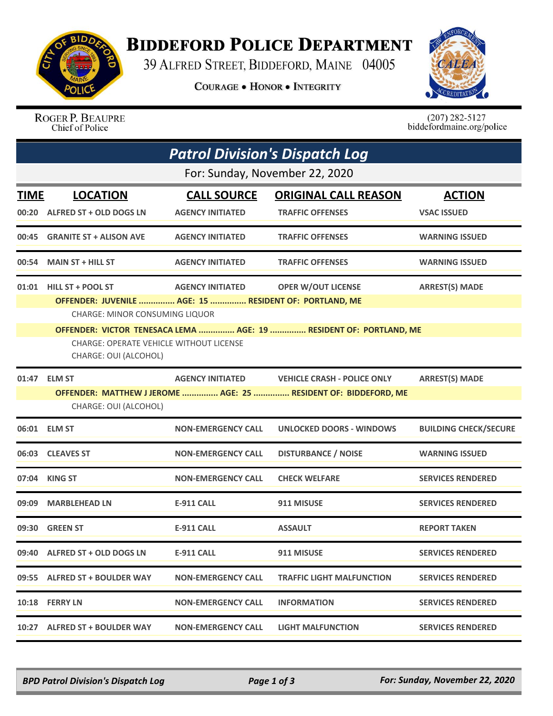

## **BIDDEFORD POLICE DEPARTMENT**

39 ALFRED STREET, BIDDEFORD, MAINE 04005

**COURAGE . HONOR . INTEGRITY** 



ROGER P. BEAUPRE Chief of Police

 $(207)$  282-5127<br>biddefordmaine.org/police

| <b>Patrol Division's Dispatch Log</b> |                                                                         |                           |                                                                    |                              |  |  |  |  |
|---------------------------------------|-------------------------------------------------------------------------|---------------------------|--------------------------------------------------------------------|------------------------------|--|--|--|--|
|                                       | For: Sunday, November 22, 2020                                          |                           |                                                                    |                              |  |  |  |  |
| <b>TIME</b>                           | <b>LOCATION</b>                                                         | <b>CALL SOURCE</b>        | <b>ORIGINAL CALL REASON</b>                                        | <b>ACTION</b>                |  |  |  |  |
| 00:20                                 | ALFRED ST + OLD DOGS LN                                                 | <b>AGENCY INITIATED</b>   | <b>TRAFFIC OFFENSES</b>                                            | <b>VSAC ISSUED</b>           |  |  |  |  |
| 00:45                                 | <b>GRANITE ST + ALISON AVE</b>                                          | <b>AGENCY INITIATED</b>   | <b>TRAFFIC OFFENSES</b>                                            | <b>WARNING ISSUED</b>        |  |  |  |  |
| 00:54                                 | <b>MAIN ST + HILL ST</b>                                                | <b>AGENCY INITIATED</b>   | <b>TRAFFIC OFFENSES</b>                                            | <b>WARNING ISSUED</b>        |  |  |  |  |
| 01:01                                 | HILL ST + POOL ST                                                       | <b>AGENCY INITIATED</b>   | <b>OPER W/OUT LICENSE</b>                                          | <b>ARREST(S) MADE</b>        |  |  |  |  |
|                                       | OFFENDER: JUVENILE  AGE: 15  RESIDENT OF: PORTLAND, ME                  |                           |                                                                    |                              |  |  |  |  |
|                                       | CHARGE: MINOR CONSUMING LIQUOR                                          |                           | OFFENDER: VICTOR TENESACA LEMA  AGE: 19  RESIDENT OF: PORTLAND, ME |                              |  |  |  |  |
|                                       | <b>CHARGE: OPERATE VEHICLE WITHOUT LICENSE</b><br>CHARGE: OUI (ALCOHOL) |                           |                                                                    |                              |  |  |  |  |
| 01:47                                 | <b>ELM ST</b>                                                           | <b>AGENCY INITIATED</b>   | <b>VEHICLE CRASH - POLICE ONLY</b>                                 | <b>ARREST(S) MADE</b>        |  |  |  |  |
|                                       | CHARGE: OUI (ALCOHOL)                                                   |                           | OFFENDER: MATTHEW J JEROME  AGE: 25  RESIDENT OF: BIDDEFORD, ME    |                              |  |  |  |  |
| 06:01                                 | <b>ELM ST</b>                                                           | <b>NON-EMERGENCY CALL</b> | <b>UNLOCKED DOORS - WINDOWS</b>                                    | <b>BUILDING CHECK/SECURE</b> |  |  |  |  |
|                                       | 06:03 CLEAVES ST                                                        | <b>NON-EMERGENCY CALL</b> | <b>DISTURBANCE / NOISE</b>                                         | <b>WARNING ISSUED</b>        |  |  |  |  |
| 07:04                                 | <b>KING ST</b>                                                          | <b>NON-EMERGENCY CALL</b> | <b>CHECK WELFARE</b>                                               | <b>SERVICES RENDERED</b>     |  |  |  |  |
| 09:09                                 | <b>MARBLEHEAD LN</b>                                                    | <b>E-911 CALL</b>         | 911 MISUSE                                                         | <b>SERVICES RENDERED</b>     |  |  |  |  |
|                                       | 09:30 GREEN ST                                                          | <b>E-911 CALL</b>         | <b>ASSAULT</b>                                                     | <b>REPORT TAKEN</b>          |  |  |  |  |
|                                       | 09:40 ALFRED ST + OLD DOGS LN                                           | <b>E-911 CALL</b>         | 911 MISUSE                                                         | <b>SERVICES RENDERED</b>     |  |  |  |  |
|                                       | 09:55 ALFRED ST + BOULDER WAY                                           | <b>NON-EMERGENCY CALL</b> | <b>TRAFFIC LIGHT MALFUNCTION</b>                                   | <b>SERVICES RENDERED</b>     |  |  |  |  |
|                                       | 10:18 FERRY LN                                                          | <b>NON-EMERGENCY CALL</b> | <b>INFORMATION</b>                                                 | <b>SERVICES RENDERED</b>     |  |  |  |  |
|                                       | 10:27 ALFRED ST + BOULDER WAY                                           | <b>NON-EMERGENCY CALL</b> | <b>LIGHT MALFUNCTION</b>                                           | <b>SERVICES RENDERED</b>     |  |  |  |  |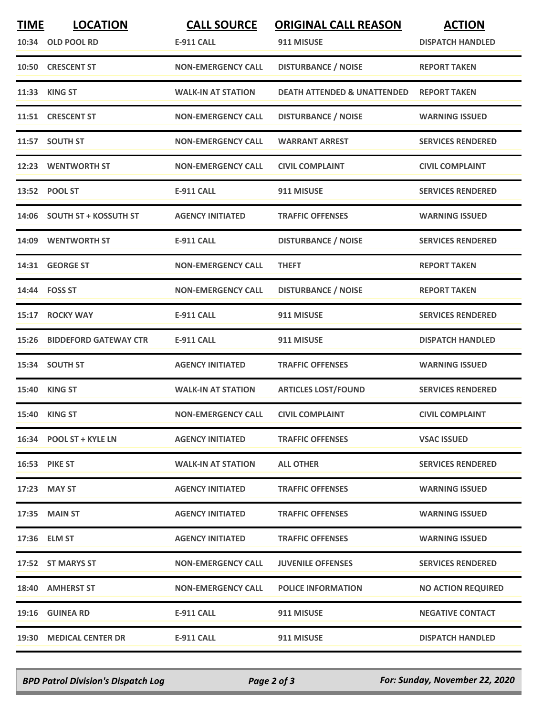| <b>TIME</b> | <b>LOCATION</b><br>10:34 OLD POOL RD | <b>CALL SOURCE</b><br><b>E-911 CALL</b> | <b>ORIGINAL CALL REASON</b><br>911 MISUSE | <b>ACTION</b><br><b>DISPATCH HANDLED</b> |
|-------------|--------------------------------------|-----------------------------------------|-------------------------------------------|------------------------------------------|
|             | 10:50 CRESCENT ST                    | <b>NON-EMERGENCY CALL</b>               | <b>DISTURBANCE / NOISE</b>                | <b>REPORT TAKEN</b>                      |
| 11:33       | <b>KING ST</b>                       | <b>WALK-IN AT STATION</b>               | <b>DEATH ATTENDED &amp; UNATTENDED</b>    | <b>REPORT TAKEN</b>                      |
|             | 11:51 CRESCENT ST                    | <b>NON-EMERGENCY CALL</b>               | <b>DISTURBANCE / NOISE</b>                | <b>WARNING ISSUED</b>                    |
|             | 11:57 SOUTH ST                       | <b>NON-EMERGENCY CALL</b>               | <b>WARRANT ARREST</b>                     | <b>SERVICES RENDERED</b>                 |
|             | 12:23 WENTWORTH ST                   | <b>NON-EMERGENCY CALL</b>               | <b>CIVIL COMPLAINT</b>                    | <b>CIVIL COMPLAINT</b>                   |
|             | 13:52 POOL ST                        | <b>E-911 CALL</b>                       | 911 MISUSE                                | <b>SERVICES RENDERED</b>                 |
|             | 14:06 SOUTH ST + KOSSUTH ST          | <b>AGENCY INITIATED</b>                 | <b>TRAFFIC OFFENSES</b>                   | <b>WARNING ISSUED</b>                    |
|             | 14:09 WENTWORTH ST                   | E-911 CALL                              | <b>DISTURBANCE / NOISE</b>                | <b>SERVICES RENDERED</b>                 |
|             | 14:31 GEORGE ST                      | <b>NON-EMERGENCY CALL</b>               | <b>THEFT</b>                              | <b>REPORT TAKEN</b>                      |
|             | 14:44 FOSS ST                        | <b>NON-EMERGENCY CALL</b>               | <b>DISTURBANCE / NOISE</b>                | <b>REPORT TAKEN</b>                      |
| 15:17       | <b>ROCKY WAY</b>                     | <b>E-911 CALL</b>                       | 911 MISUSE                                | <b>SERVICES RENDERED</b>                 |
| 15:26       | <b>BIDDEFORD GATEWAY CTR</b>         | <b>E-911 CALL</b>                       | 911 MISUSE                                | <b>DISPATCH HANDLED</b>                  |
|             | 15:34 SOUTH ST                       | <b>AGENCY INITIATED</b>                 | <b>TRAFFIC OFFENSES</b>                   | <b>WARNING ISSUED</b>                    |
|             | 15:40 KING ST                        | <b>WALK-IN AT STATION</b>               | <b>ARTICLES LOST/FOUND</b>                | <b>SERVICES RENDERED</b>                 |
|             | 15:40 KING ST                        | <b>NON-EMERGENCY CALL</b>               | <b>CIVIL COMPLAINT</b>                    | <b>CIVIL COMPLAINT</b>                   |
|             | 16:34 POOL ST + KYLE LN              | <b>AGENCY INITIATED</b>                 | <b>TRAFFIC OFFENSES</b>                   | <b>VSAC ISSUED</b>                       |
|             | <b>16:53 PIKE ST</b>                 | <b>WALK-IN AT STATION</b>               | <b>ALL OTHER</b>                          | <b>SERVICES RENDERED</b>                 |
|             | 17:23 MAY ST                         | <b>AGENCY INITIATED</b>                 | <b>TRAFFIC OFFENSES</b>                   | <b>WARNING ISSUED</b>                    |
|             | 17:35 MAIN ST                        | <b>AGENCY INITIATED</b>                 | <b>TRAFFIC OFFENSES</b>                   | <b>WARNING ISSUED</b>                    |
|             | 17:36 ELM ST                         | <b>AGENCY INITIATED</b>                 | <b>TRAFFIC OFFENSES</b>                   | <b>WARNING ISSUED</b>                    |
|             | 17:52 ST MARYS ST                    | <b>NON-EMERGENCY CALL</b>               | <b>JUVENILE OFFENSES</b>                  | <b>SERVICES RENDERED</b>                 |
|             | 18:40 AMHERST ST                     | <b>NON-EMERGENCY CALL</b>               | <b>POLICE INFORMATION</b>                 | <b>NO ACTION REQUIRED</b>                |
|             | 19:16 GUINEA RD                      | <b>E-911 CALL</b>                       | 911 MISUSE                                | <b>NEGATIVE CONTACT</b>                  |
|             | 19:30 MEDICAL CENTER DR              | <b>E-911 CALL</b>                       | 911 MISUSE                                | <b>DISPATCH HANDLED</b>                  |

*BPD Patrol Division's Dispatch Log Page 2 of 3 For: Sunday, November 22, 2020*